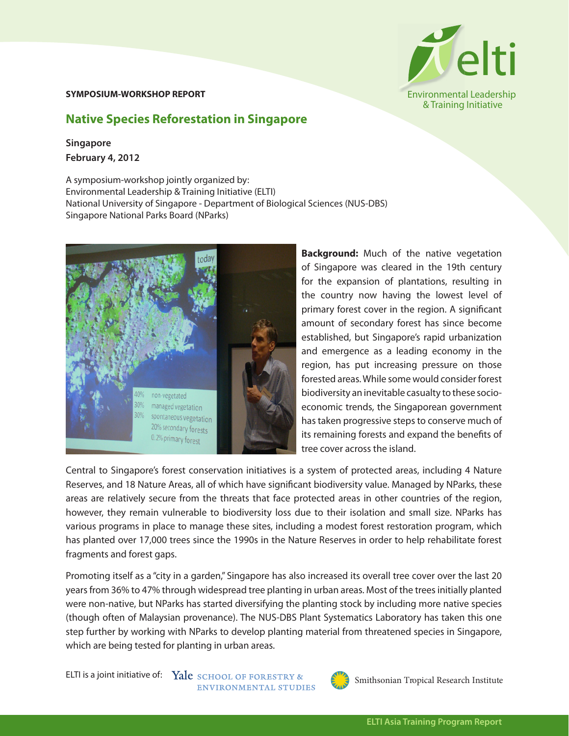## **SYMPOSIUM-WORKSHOP REPORT**

## **Native Species Reforestation in Singapore**

## **Singapore February 4, 2012**

A symposium-workshop jointly organized by: Environmental Leadership & Training Initiative (ELTI) National University of Singapore - Department of Biological Sciences (NUS-DBS) Singapore National Parks Board (NParks)



**Background:** Much of the native vegetation of Singapore was cleared in the 19th century for the expansion of plantations, resulting in the country now having the lowest level of primary forest cover in the region. A significant amount of secondary forest has since become established, but Singapore's rapid urbanization and emergence as a leading economy in the region, has put increasing pressure on those forested areas. While some would consider forest biodiversity an inevitable casualty to these socioeconomic trends, the Singaporean government has taken progressive steps to conserve much of its remaining forests and expand the benefits of tree cover across the island.

Central to Singapore's forest conservation initiatives is a system of protected areas, including 4 Nature Reserves, and 18 Nature Areas, all of which have significant biodiversity value. Managed by NParks, these areas are relatively secure from the threats that face protected areas in other countries of the region, however, they remain vulnerable to biodiversity loss due to their isolation and small size. NParks has various programs in place to manage these sites, including a modest forest restoration program, which has planted over 17,000 trees since the 1990s in the Nature Reserves in order to help rehabilitate forest fragments and forest gaps.

Promoting itself as a "city in a garden," Singapore has also increased its overall tree cover over the last 20 years from 36% to 47% through widespread tree planting in urban areas. Most of the trees initially planted were non-native, but NParks has started diversifying the planting stock by including more native species (though often of Malaysian provenance). The NUS-DBS Plant Systematics Laboratory has taken this one step further by working with NParks to develop planting material from threatened species in Singapore, which are being tested for planting in urban areas.

ELTI is a joint initiative of: Yale SCHOOL OF FORESTRY & ENVIRONMENTAL STUDIES



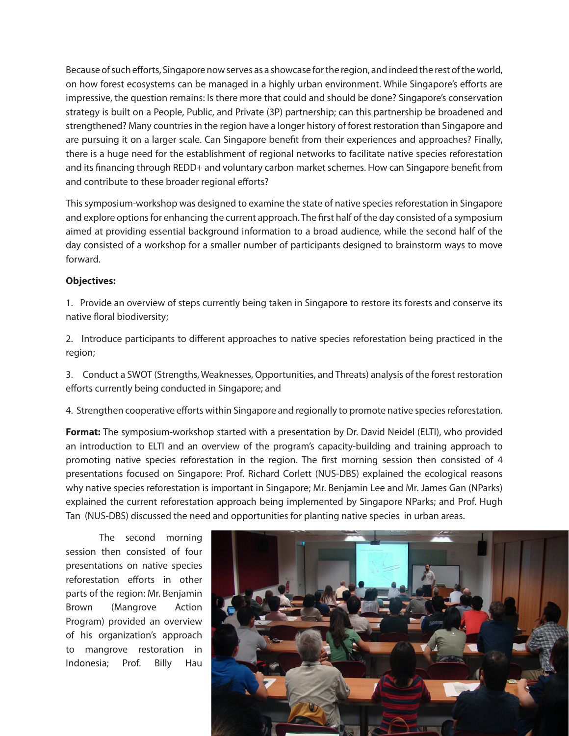Because of such efforts, Singapore now serves as a showcase for the region, and indeed the rest of the world, on how forest ecosystems can be managed in a highly urban environment. While Singapore's efforts are impressive, the question remains: Is there more that could and should be done? Singapore's conservation strategy is built on a People, Public, and Private (3P) partnership; can this partnership be broadened and strengthened? Many countries in the region have a longer history of forest restoration than Singapore and are pursuing it on a larger scale. Can Singapore benefit from their experiences and approaches? Finally, there is a huge need for the establishment of regional networks to facilitate native species reforestation and its financing through REDD+ and voluntary carbon market schemes. How can Singapore benefit from and contribute to these broader regional efforts?

This symposium-workshop was designed to examine the state of native species reforestation in Singapore and explore options for enhancing the current approach. The first half of the day consisted of a symposium aimed at providing essential background information to a broad audience, while the second half of the day consisted of a workshop for a smaller number of participants designed to brainstorm ways to move forward.

## **Objectives:**

1. Provide an overview of steps currently being taken in Singapore to restore its forests and conserve its native floral biodiversity;

2. Introduce participants to different approaches to native species reforestation being practiced in the region;

3. Conduct a SWOT (Strengths, Weaknesses, Opportunities, and Threats) analysis of the forest restoration efforts currently being conducted in Singapore; and

4. Strengthen cooperative efforts within Singapore and regionally to promote native species reforestation.

**Format:** The symposium-workshop started with a presentation by Dr. David Neidel (ELTI), who provided an introduction to ELTI and an overview of the program's capacity-building and training approach to promoting native species reforestation in the region. The first morning session then consisted of 4 presentations focused on Singapore: Prof. Richard Corlett (NUS-DBS) explained the ecological reasons why native species reforestation is important in Singapore; Mr. Benjamin Lee and Mr. James Gan (NParks) explained the current reforestation approach being implemented by Singapore NParks; and Prof. Hugh Tan (NUS-DBS) discussed the need and opportunities for planting native species in urban areas.

The second morning session then consisted of four presentations on native species reforestation efforts in other parts of the region: Mr. Benjamin Brown (Mangrove Action Program) provided an overview of his organization's approach to mangrove restoration in Indonesia; Prof. Billy Hau